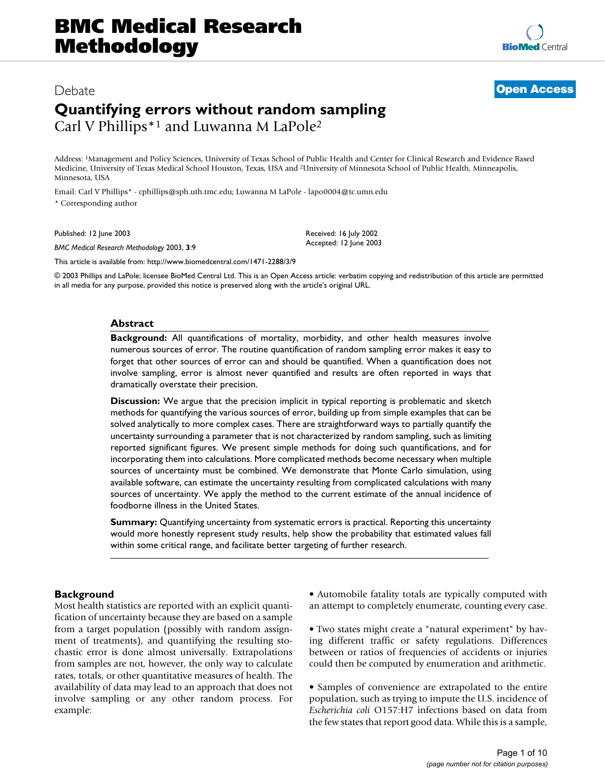# Debate **[Open Access](http://www.biomedcentral.com/info/about/charter/) Quantifying errors without random sampling** Carl V Phillips\*1 and Luwanna M LaPole2

Address: 1Management and Policy Sciences, University of Texas School of Public Health and Center for Clinical Research and Evidence Based Medicine, University of Texas Medical School Houston, Texas, USA and 2University of Minnesota School of Public Health, Minneapolis, Minnesota, USA

Email: Carl V Phillips\* - cphillips@sph.uth.tmc.edu; Luwanna M LaPole - lapo0004@tc.umn.edu

\* Corresponding author

Published: 12 June 2003

*BMC Medical Research Methodology* 2003, **3**:9

[This article is available from: http://www.biomedcentral.com/1471-2288/3/9](http://www.biomedcentral.com/1471-2288/3/9)

© 2003 Phillips and LaPole; licensee BioMed Central Ltd. This is an Open Access article: verbatim copying and redistribution of this article are permitted in all media for any purpose, provided this notice is preserved along with the article's original URL.

Received: 16 July 2002 Accepted: 12 June 2003

### **Abstract**

**Background:** All quantifications of mortality, morbidity, and other health measures involve numerous sources of error. The routine quantification of random sampling error makes it easy to forget that other sources of error can and should be quantified. When a quantification does not involve sampling, error is almost never quantified and results are often reported in ways that dramatically overstate their precision.

**Discussion:** We argue that the precision implicit in typical reporting is problematic and sketch methods for quantifying the various sources of error, building up from simple examples that can be solved analytically to more complex cases. There are straightforward ways to partially quantify the uncertainty surrounding a parameter that is not characterized by random sampling, such as limiting reported significant figures. We present simple methods for doing such quantifications, and for incorporating them into calculations. More complicated methods become necessary when multiple sources of uncertainty must be combined. We demonstrate that Monte Carlo simulation, using available software, can estimate the uncertainty resulting from complicated calculations with many sources of uncertainty. We apply the method to the current estimate of the annual incidence of foodborne illness in the United States.

**Summary:** Quantifying uncertainty from systematic errors is practical. Reporting this uncertainty would more honestly represent study results, help show the probability that estimated values fall within some critical range, and facilitate better targeting of further research.

# **Background**

Most health statistics are reported with an explicit quantification of uncertainty because they are based on a sample from a target population (possibly with random assignment of treatments), and quantifying the resulting stochastic error is done almost universally. Extrapolations from samples are not, however, the only way to calculate rates, totals, or other quantitative measures of health. The availability of data may lead to an approach that does not involve sampling or any other random process. For example:

• Automobile fatality totals are typically computed with an attempt to completely enumerate, counting every case.

• Two states might create a "natural experiment" by having different traffic or safety regulations. Differences between or ratios of frequencies of accidents or injuries could then be computed by enumeration and arithmetic.

• Samples of convenience are extrapolated to the entire population, such as trying to impute the U.S. incidence of *Escherichia coli* O157:H7 infections based on data from the few states that report good data. While this is a sample,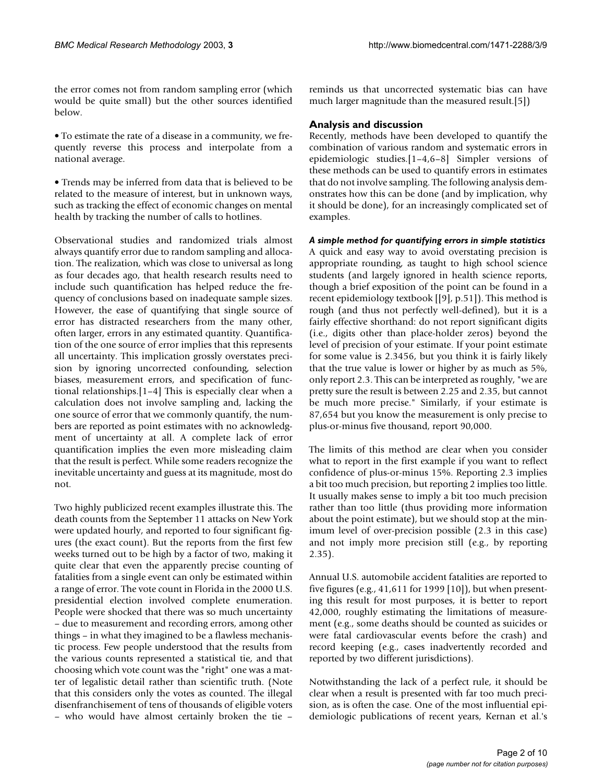the error comes not from random sampling error (which would be quite small) but the other sources identified below.

• To estimate the rate of a disease in a community, we frequently reverse this process and interpolate from a national average.

• Trends may be inferred from data that is believed to be related to the measure of interest, but in unknown ways, such as tracking the effect of economic changes on mental health by tracking the number of calls to hotlines.

Observational studies and randomized trials almost always quantify error due to random sampling and allocation. The realization, which was close to universal as long as four decades ago, that health research results need to include such quantification has helped reduce the frequency of conclusions based on inadequate sample sizes. However, the ease of quantifying that single source of error has distracted researchers from the many other, often larger, errors in any estimated quantity. Quantification of the one source of error implies that this represents all uncertainty. This implication grossly overstates precision by ignoring uncorrected confounding, selection biases, measurement errors, and specification of functional relationships.[1–4] This is especially clear when a calculation does not involve sampling and, lacking the one source of error that we commonly quantify, the numbers are reported as point estimates with no acknowledgment of uncertainty at all. A complete lack of error quantification implies the even more misleading claim that the result is perfect. While some readers recognize the inevitable uncertainty and guess at its magnitude, most do not.

Two highly publicized recent examples illustrate this. The death counts from the September 11 attacks on New York were updated hourly, and reported to four significant figures (the exact count). But the reports from the first few weeks turned out to be high by a factor of two, making it quite clear that even the apparently precise counting of fatalities from a single event can only be estimated within a range of error. The vote count in Florida in the 2000 U.S. presidential election involved complete enumeration. People were shocked that there was so much uncertainty – due to measurement and recording errors, among other things – in what they imagined to be a flawless mechanistic process. Few people understood that the results from the various counts represented a statistical tie, and that choosing which vote count was the "right" one was a matter of legalistic detail rather than scientific truth. (Note that this considers only the votes as counted. The illegal disenfranchisement of tens of thousands of eligible voters – who would have almost certainly broken the tie –

reminds us that uncorrected systematic bias can have much larger magnitude than the measured result.[5])

# **Analysis and discussion**

Recently, methods have been developed to quantify the combination of various random and systematic errors in epidemiologic studies.[1–4,6–8] Simpler versions of these methods can be used to quantify errors in estimates that do not involve sampling. The following analysis demonstrates how this can be done (and by implication, why it should be done), for an increasingly complicated set of examples.

*A simple method for quantifying errors in simple statistics* A quick and easy way to avoid overstating precision is appropriate rounding, as taught to high school science students (and largely ignored in health science reports, though a brief exposition of the point can be found in a recent epidemiology textbook [[9], p.51]). This method is rough (and thus not perfectly well-defined), but it is a fairly effective shorthand: do not report significant digits (i.e., digits other than place-holder zeros) beyond the level of precision of your estimate. If your point estimate for some value is 2.3456, but you think it is fairly likely that the true value is lower or higher by as much as 5%, only report 2.3. This can be interpreted as roughly, "we are pretty sure the result is between 2.25 and 2.35, but cannot be much more precise." Similarly, if your estimate is 87,654 but you know the measurement is only precise to plus-or-minus five thousand, report 90,000.

The limits of this method are clear when you consider what to report in the first example if you want to reflect confidence of plus-or-minus 15%. Reporting 2.3 implies a bit too much precision, but reporting 2 implies too little. It usually makes sense to imply a bit too much precision rather than too little (thus providing more information about the point estimate), but we should stop at the minimum level of over-precision possible (2.3 in this case) and not imply more precision still (e.g., by reporting 2.35).

Annual U.S. automobile accident fatalities are reported to five figures (e.g., 41,611 for 1999 [10]), but when presenting this result for most purposes, it is better to report 42,000, roughly estimating the limitations of measurement (e.g., some deaths should be counted as suicides or were fatal cardiovascular events before the crash) and record keeping (e.g., cases inadvertently recorded and reported by two different jurisdictions).

Notwithstanding the lack of a perfect rule, it should be clear when a result is presented with far too much precision, as is often the case. One of the most influential epidemiologic publications of recent years, Kernan et al.'s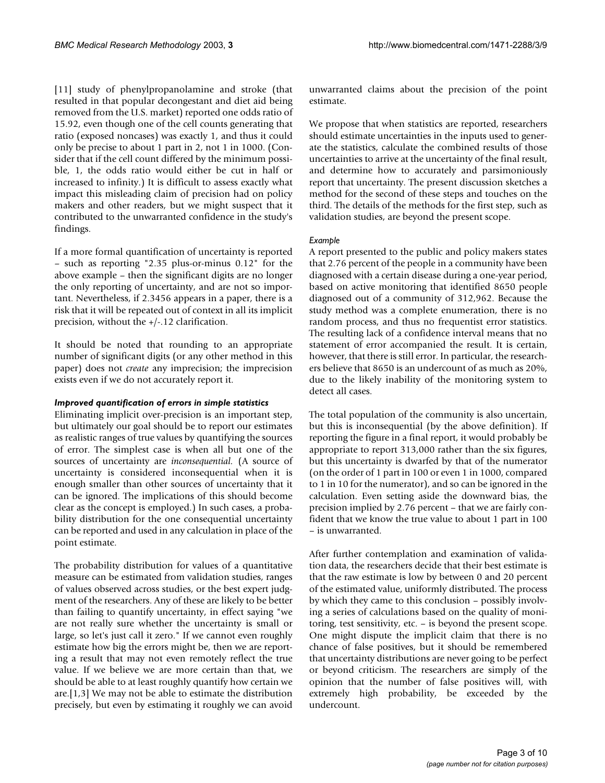[11] study of phenylpropanolamine and stroke (that resulted in that popular decongestant and diet aid being removed from the U.S. market) reported one odds ratio of 15.92, even though one of the cell counts generating that ratio (exposed noncases) was exactly 1, and thus it could only be precise to about 1 part in 2, not 1 in 1000. (Consider that if the cell count differed by the minimum possible, 1, the odds ratio would either be cut in half or increased to infinity.) It is difficult to assess exactly what impact this misleading claim of precision had on policy makers and other readers, but we might suspect that it contributed to the unwarranted confidence in the study's findings.

If a more formal quantification of uncertainty is reported – such as reporting "2.35 plus-or-minus 0.12" for the above example – then the significant digits are no longer the only reporting of uncertainty, and are not so important. Nevertheless, if 2.3456 appears in a paper, there is a risk that it will be repeated out of context in all its implicit precision, without the +/-.12 clarification.

It should be noted that rounding to an appropriate number of significant digits (or any other method in this paper) does not *create* any imprecision; the imprecision exists even if we do not accurately report it.

# *Improved quantification of errors in simple statistics*

Eliminating implicit over-precision is an important step, but ultimately our goal should be to report our estimates as realistic ranges of true values by quantifying the sources of error. The simplest case is when all but one of the sources of uncertainty are *inconsequential.* (A source of uncertainty is considered inconsequential when it is enough smaller than other sources of uncertainty that it can be ignored. The implications of this should become clear as the concept is employed.) In such cases, a probability distribution for the one consequential uncertainty can be reported and used in any calculation in place of the point estimate.

The probability distribution for values of a quantitative measure can be estimated from validation studies, ranges of values observed across studies, or the best expert judgment of the researchers. Any of these are likely to be better than failing to quantify uncertainty, in effect saying "we are not really sure whether the uncertainty is small or large, so let's just call it zero." If we cannot even roughly estimate how big the errors might be, then we are reporting a result that may not even remotely reflect the true value. If we believe we are more certain than that, we should be able to at least roughly quantify how certain we are.[1,3] We may not be able to estimate the distribution precisely, but even by estimating it roughly we can avoid unwarranted claims about the precision of the point estimate.

We propose that when statistics are reported, researchers should estimate uncertainties in the inputs used to generate the statistics, calculate the combined results of those uncertainties to arrive at the uncertainty of the final result, and determine how to accurately and parsimoniously report that uncertainty. The present discussion sketches a method for the second of these steps and touches on the third. The details of the methods for the first step, such as validation studies, are beyond the present scope.

# *Example*

A report presented to the public and policy makers states that 2.76 percent of the people in a community have been diagnosed with a certain disease during a one-year period, based on active monitoring that identified 8650 people diagnosed out of a community of 312,962. Because the study method was a complete enumeration, there is no random process, and thus no frequentist error statistics. The resulting lack of a confidence interval means that no statement of error accompanied the result. It is certain, however, that there is still error. In particular, the researchers believe that 8650 is an undercount of as much as 20%, due to the likely inability of the monitoring system to detect all cases.

The total population of the community is also uncertain, but this is inconsequential (by the above definition). If reporting the figure in a final report, it would probably be appropriate to report 313,000 rather than the six figures, but this uncertainty is dwarfed by that of the numerator (on the order of 1 part in 100 or even 1 in 1000, compared to 1 in 10 for the numerator), and so can be ignored in the calculation. Even setting aside the downward bias, the precision implied by 2.76 percent – that we are fairly confident that we know the true value to about 1 part in 100 – is unwarranted.

After further contemplation and examination of validation data, the researchers decide that their best estimate is that the raw estimate is low by between 0 and 20 percent of the estimated value, uniformly distributed. The process by which they came to this conclusion – possibly involving a series of calculations based on the quality of monitoring, test sensitivity, etc. – is beyond the present scope. One might dispute the implicit claim that there is no chance of false positives, but it should be remembered that uncertainty distributions are never going to be perfect or beyond criticism. The researchers are simply of the opinion that the number of false positives will, with extremely high probability, be exceeded by the undercount.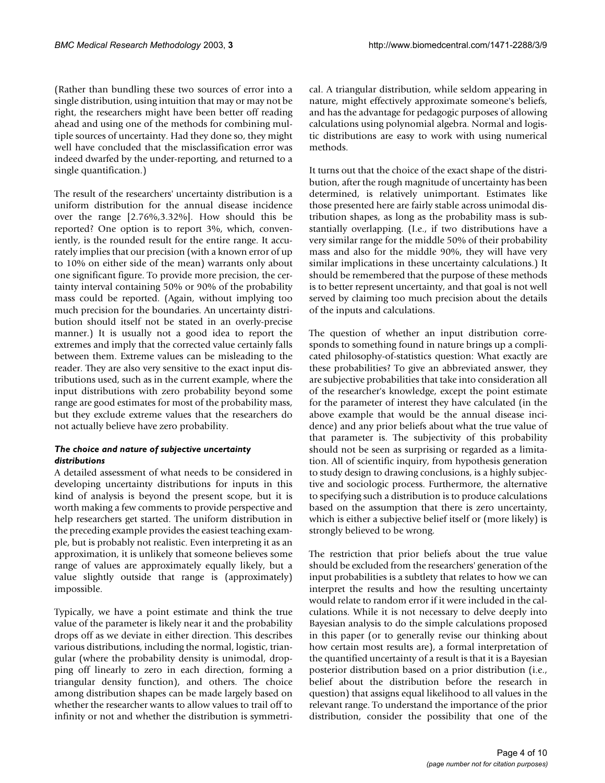(Rather than bundling these two sources of error into a single distribution, using intuition that may or may not be right, the researchers might have been better off reading ahead and using one of the methods for combining multiple sources of uncertainty. Had they done so, they might well have concluded that the misclassification error was indeed dwarfed by the under-reporting, and returned to a single quantification.)

The result of the researchers' uncertainty distribution is a uniform distribution for the annual disease incidence over the range [2.76%,3.32%]. How should this be reported? One option is to report 3%, which, conveniently, is the rounded result for the entire range. It accurately implies that our precision (with a known error of up to 10% on either side of the mean) warrants only about one significant figure. To provide more precision, the certainty interval containing 50% or 90% of the probability mass could be reported. (Again, without implying too much precision for the boundaries. An uncertainty distribution should itself not be stated in an overly-precise manner.) It is usually not a good idea to report the extremes and imply that the corrected value certainly falls between them. Extreme values can be misleading to the reader. They are also very sensitive to the exact input distributions used, such as in the current example, where the input distributions with zero probability beyond some range are good estimates for most of the probability mass, but they exclude extreme values that the researchers do not actually believe have zero probability.

# *The choice and nature of subjective uncertainty distributions*

A detailed assessment of what needs to be considered in developing uncertainty distributions for inputs in this kind of analysis is beyond the present scope, but it is worth making a few comments to provide perspective and help researchers get started. The uniform distribution in the preceding example provides the easiest teaching example, but is probably not realistic. Even interpreting it as an approximation, it is unlikely that someone believes some range of values are approximately equally likely, but a value slightly outside that range is (approximately) impossible.

Typically, we have a point estimate and think the true value of the parameter is likely near it and the probability drops off as we deviate in either direction. This describes various distributions, including the normal, logistic, triangular (where the probability density is unimodal, dropping off linearly to zero in each direction, forming a triangular density function), and others. The choice among distribution shapes can be made largely based on whether the researcher wants to allow values to trail off to infinity or not and whether the distribution is symmetrical. A triangular distribution, while seldom appearing in nature, might effectively approximate someone's beliefs, and has the advantage for pedagogic purposes of allowing calculations using polynomial algebra. Normal and logistic distributions are easy to work with using numerical methods.

It turns out that the choice of the exact shape of the distribution, after the rough magnitude of uncertainty has been determined, is relatively unimportant. Estimates like those presented here are fairly stable across unimodal distribution shapes, as long as the probability mass is substantially overlapping. (I.e., if two distributions have a very similar range for the middle 50% of their probability mass and also for the middle 90%, they will have very similar implications in these uncertainty calculations.) It should be remembered that the purpose of these methods is to better represent uncertainty, and that goal is not well served by claiming too much precision about the details of the inputs and calculations.

The question of whether an input distribution corresponds to something found in nature brings up a complicated philosophy-of-statistics question: What exactly are these probabilities? To give an abbreviated answer, they are subjective probabilities that take into consideration all of the researcher's knowledge, except the point estimate for the parameter of interest they have calculated (in the above example that would be the annual disease incidence) and any prior beliefs about what the true value of that parameter is. The subjectivity of this probability should not be seen as surprising or regarded as a limitation. All of scientific inquiry, from hypothesis generation to study design to drawing conclusions, is a highly subjective and sociologic process. Furthermore, the alternative to specifying such a distribution is to produce calculations based on the assumption that there is zero uncertainty, which is either a subjective belief itself or (more likely) is strongly believed to be wrong.

The restriction that prior beliefs about the true value should be excluded from the researchers' generation of the input probabilities is a subtlety that relates to how we can interpret the results and how the resulting uncertainty would relate to random error if it were included in the calculations. While it is not necessary to delve deeply into Bayesian analysis to do the simple calculations proposed in this paper (or to generally revise our thinking about how certain most results are), a formal interpretation of the quantified uncertainty of a result is that it is a Bayesian posterior distribution based on a prior distribution (i.e., belief about the distribution before the research in question) that assigns equal likelihood to all values in the relevant range. To understand the importance of the prior distribution, consider the possibility that one of the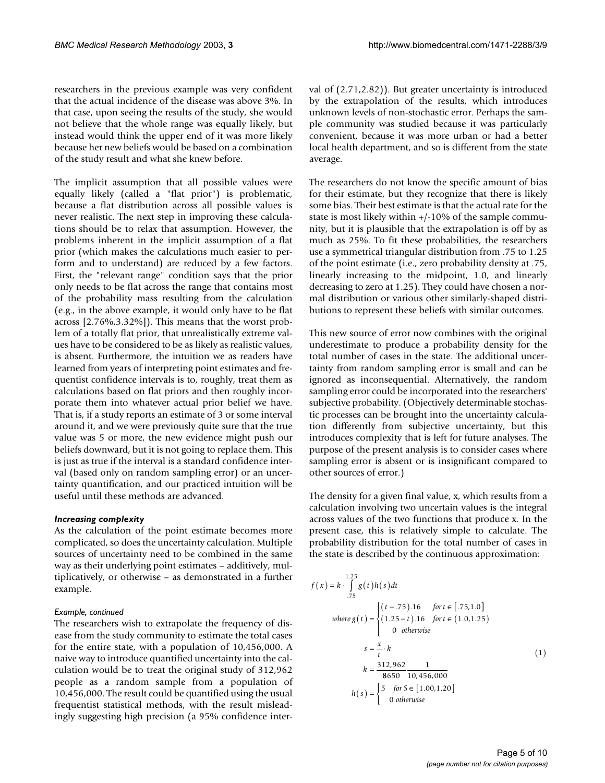researchers in the previous example was very confident that the actual incidence of the disease was above 3%. In that case, upon seeing the results of the study, she would not believe that the whole range was equally likely, but instead would think the upper end of it was more likely because her new beliefs would be based on a combination of the study result and what she knew before.

The implicit assumption that all possible values were equally likely (called a "flat prior") is problematic, because a flat distribution across all possible values is never realistic. The next step in improving these calculations should be to relax that assumption. However, the problems inherent in the implicit assumption of a flat prior (which makes the calculations much easier to perform and to understand) are reduced by a few factors. First, the "relevant range" condition says that the prior only needs to be flat across the range that contains most of the probability mass resulting from the calculation (e.g., in the above example, it would only have to be flat across [2.76%,3.32%]). This means that the worst problem of a totally flat prior, that unrealistically extreme values have to be considered to be as likely as realistic values, is absent. Furthermore, the intuition we as readers have learned from years of interpreting point estimates and frequentist confidence intervals is to, roughly, treat them as calculations based on flat priors and then roughly incorporate them into whatever actual prior belief we have. That is, if a study reports an estimate of 3 or some interval around it, and we were previously quite sure that the true value was 5 or more, the new evidence might push our beliefs downward, but it is not going to replace them. This is just as true if the interval is a standard confidence interval (based only on random sampling error) or an uncertainty quantification, and our practiced intuition will be useful until these methods are advanced.

#### *Increasing complexity*

As the calculation of the point estimate becomes more complicated, so does the uncertainty calculation. Multiple sources of uncertainty need to be combined in the same way as their underlying point estimates – additively, multiplicatively, or otherwise – as demonstrated in a further example.

#### *Example, continued*

The researchers wish to extrapolate the frequency of disease from the study community to estimate the total cases for the entire state, with a population of 10,456,000. A naive way to introduce quantified uncertainty into the calculation would be to treat the original study of 312,962 people as a random sample from a population of 10,456,000. The result could be quantified using the usual frequentist statistical methods, with the result misleadingly suggesting high precision (a 95% confidence interval of (2.71,2.82)). But greater uncertainty is introduced by the extrapolation of the results, which introduces unknown levels of non-stochastic error. Perhaps the sample community was studied because it was particularly convenient, because it was more urban or had a better local health department, and so is different from the state average.

The researchers do not know the specific amount of bias for their estimate, but they recognize that there is likely some bias. Their best estimate is that the actual rate for the state is most likely within +/-10% of the sample community, but it is plausible that the extrapolation is off by as much as 25%. To fit these probabilities, the researchers use a symmetrical triangular distribution from .75 to 1.25 of the point estimate (i.e., zero probability density at .75, linearly increasing to the midpoint, 1.0, and linearly decreasing to zero at 1.25). They could have chosen a normal distribution or various other similarly-shaped distributions to represent these beliefs with similar outcomes.

This new source of error now combines with the original underestimate to produce a probability density for the total number of cases in the state. The additional uncertainty from random sampling error is small and can be ignored as inconsequential. Alternatively, the random sampling error could be incorporated into the researchers' subjective probability. (Objectively determinable stochastic processes can be brought into the uncertainty calculation differently from subjective uncertainty, but this introduces complexity that is left for future analyses. The purpose of the present analysis is to consider cases where sampling error is absent or is insignificant compared to other sources of error.)

The density for a given final value, x, which results from a calculation involving two uncertain values is the integral across values of the two functions that produce x. In the present case, this is relatively simple to calculate. The probability distribution for the total number of cases in the state is described by the continuous approximation:

$$
f(x) = k \cdot \int_{.75}^{1.25} g(t)h(s)dt
$$
  
\nwhere  $g(t) =\begin{cases} (t-.75).16 & \text{for } t \in [.75,1.0] \\ (1.25-t).16 & \text{for } t \in (1.0,1.25) \\ 0 & \text{otherwise} \end{cases}$   
\n
$$
s = \frac{x}{t} \cdot k
$$
  
\n
$$
k = \frac{312.962}{8650} \frac{1}{10,456,000}
$$
  
\n
$$
h(s) =\begin{cases} 5 & \text{for } S \in [1.00,1.20] \\ 0 & \text{otherwise} \end{cases}
$$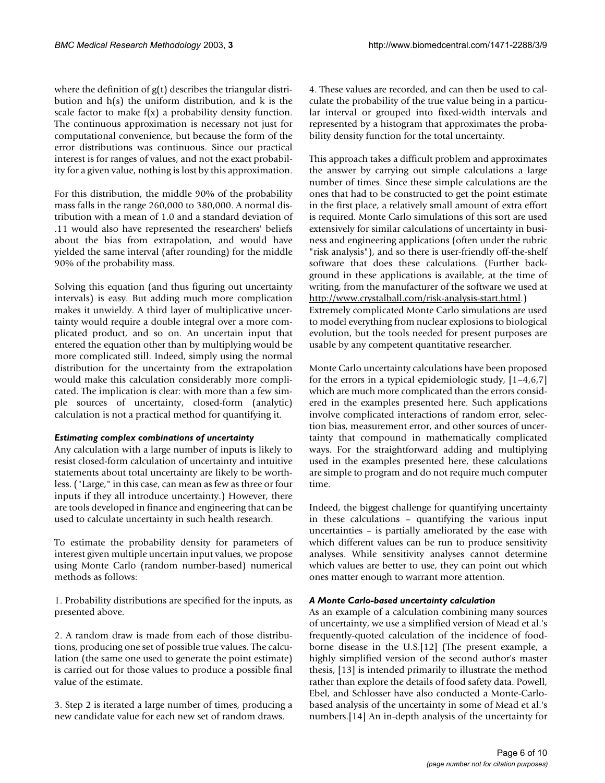where the definition of g(t) describes the triangular distribution and h(s) the uniform distribution, and k is the scale factor to make  $f(x)$  a probability density function. The continuous approximation is necessary not just for computational convenience, but because the form of the error distributions was continuous. Since our practical interest is for ranges of values, and not the exact probability for a given value, nothing is lost by this approximation.

For this distribution, the middle 90% of the probability mass falls in the range 260,000 to 380,000. A normal distribution with a mean of 1.0 and a standard deviation of .11 would also have represented the researchers' beliefs about the bias from extrapolation, and would have yielded the same interval (after rounding) for the middle 90% of the probability mass.

Solving this equation (and thus figuring out uncertainty intervals) is easy. But adding much more complication makes it unwieldy. A third layer of multiplicative uncertainty would require a double integral over a more complicated product, and so on. An uncertain input that entered the equation other than by multiplying would be more complicated still. Indeed, simply using the normal distribution for the uncertainty from the extrapolation would make this calculation considerably more complicated. The implication is clear: with more than a few simple sources of uncertainty, closed-form (analytic) calculation is not a practical method for quantifying it.

# *Estimating complex combinations of uncertainty*

Any calculation with a large number of inputs is likely to resist closed-form calculation of uncertainty and intuitive statements about total uncertainty are likely to be worthless. ("Large," in this case, can mean as few as three or four inputs if they all introduce uncertainty.) However, there are tools developed in finance and engineering that can be used to calculate uncertainty in such health research.

To estimate the probability density for parameters of interest given multiple uncertain input values, we propose using Monte Carlo (random number-based) numerical methods as follows:

1. Probability distributions are specified for the inputs, as presented above.

2. A random draw is made from each of those distributions, producing one set of possible true values. The calculation (the same one used to generate the point estimate) is carried out for those values to produce a possible final value of the estimate.

3. Step 2 is iterated a large number of times, producing a new candidate value for each new set of random draws.

4. These values are recorded, and can then be used to calculate the probability of the true value being in a particular interval or grouped into fixed-width intervals and represented by a histogram that approximates the probability density function for the total uncertainty.

This approach takes a difficult problem and approximates the answer by carrying out simple calculations a large number of times. Since these simple calculations are the ones that had to be constructed to get the point estimate in the first place, a relatively small amount of extra effort is required. Monte Carlo simulations of this sort are used extensively for similar calculations of uncertainty in business and engineering applications (often under the rubric "risk analysis"), and so there is user-friendly off-the-shelf software that does these calculations. (Further background in these applications is available, at the time of writing, from the manufacturer of the software we used at <http://www.crystalball.com/risk-analysis-start.html>.) Extremely complicated Monte Carlo simulations are used to model everything from nuclear explosions to biological evolution, but the tools needed for present purposes are usable by any competent quantitative researcher.

Monte Carlo uncertainty calculations have been proposed for the errors in a typical epidemiologic study, [1–4,6,7] which are much more complicated than the errors considered in the examples presented here. Such applications involve complicated interactions of random error, selection bias, measurement error, and other sources of uncertainty that compound in mathematically complicated ways. For the straightforward adding and multiplying used in the examples presented here, these calculations are simple to program and do not require much computer time.

Indeed, the biggest challenge for quantifying uncertainty in these calculations – quantifying the various input uncertainties – is partially ameliorated by the ease with which different values can be run to produce sensitivity analyses. While sensitivity analyses cannot determine which values are better to use, they can point out which ones matter enough to warrant more attention.

# *A Monte Carlo-based uncertainty calculation*

As an example of a calculation combining many sources of uncertainty, we use a simplified version of Mead et al.'s frequently-quoted calculation of the incidence of foodborne disease in the U.S.[12] (The present example, a highly simplified version of the second author's master thesis, [13] is intended primarily to illustrate the method rather than explore the details of food safety data. Powell, Ebel, and Schlosser have also conducted a Monte-Carlobased analysis of the uncertainty in some of Mead et al.'s numbers.[14] An in-depth analysis of the uncertainty for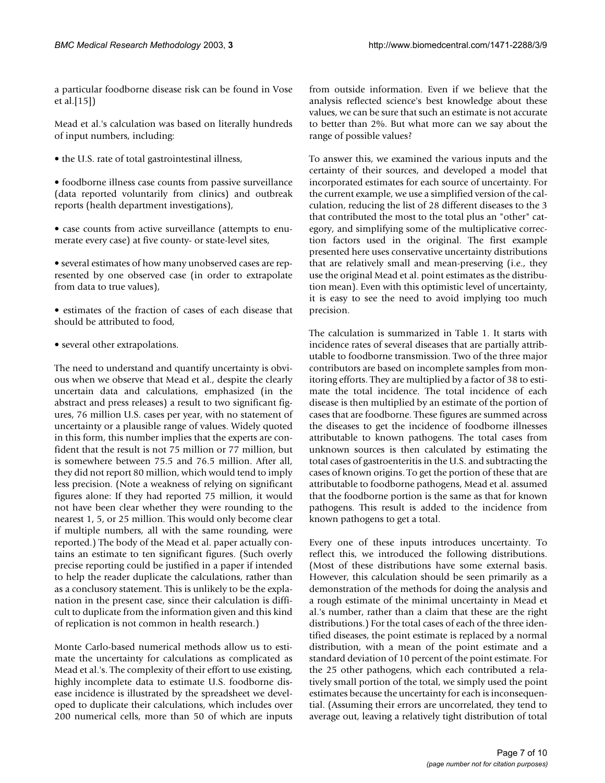a particular foodborne disease risk can be found in Vose et al.[15])

Mead et al.'s calculation was based on literally hundreds of input numbers, including:

• the U.S. rate of total gastrointestinal illness,

• foodborne illness case counts from passive surveillance (data reported voluntarily from clinics) and outbreak reports (health department investigations),

- case counts from active surveillance (attempts to enumerate every case) at five county- or state-level sites,
- several estimates of how many unobserved cases are represented by one observed case (in order to extrapolate from data to true values),
- estimates of the fraction of cases of each disease that should be attributed to food,
- several other extrapolations.

The need to understand and quantify uncertainty is obvious when we observe that Mead et al., despite the clearly uncertain data and calculations, emphasized (in the abstract and press releases) a result to two significant figures, 76 million U.S. cases per year, with no statement of uncertainty or a plausible range of values. Widely quoted in this form, this number implies that the experts are confident that the result is not 75 million or 77 million, but is somewhere between 75.5 and 76.5 million. After all, they did not report 80 million, which would tend to imply less precision. (Note a weakness of relying on significant figures alone: If they had reported 75 million, it would not have been clear whether they were rounding to the nearest 1, 5, or 25 million. This would only become clear if multiple numbers, all with the same rounding, were reported.) The body of the Mead et al. paper actually contains an estimate to ten significant figures. (Such overly precise reporting could be justified in a paper if intended to help the reader duplicate the calculations, rather than as a conclusory statement. This is unlikely to be the explanation in the present case, since their calculation is difficult to duplicate from the information given and this kind of replication is not common in health research.)

Monte Carlo-based numerical methods allow us to estimate the uncertainty for calculations as complicated as Mead et al.'s. The complexity of their effort to use existing, highly incomplete data to estimate U.S. foodborne disease incidence is illustrated by the spreadsheet we developed to duplicate their calculations, which includes over 200 numerical cells, more than 50 of which are inputs from outside information. Even if we believe that the analysis reflected science's best knowledge about these values, we can be sure that such an estimate is not accurate to better than 2%. But what more can we say about the range of possible values?

To answer this, we examined the various inputs and the certainty of their sources, and developed a model that incorporated estimates for each source of uncertainty. For the current example, we use a simplified version of the calculation, reducing the list of 28 different diseases to the 3 that contributed the most to the total plus an "other" category, and simplifying some of the multiplicative correction factors used in the original. The first example presented here uses conservative uncertainty distributions that are relatively small and mean-preserving (i.e., they use the original Mead et al. point estimates as the distribution mean). Even with this optimistic level of uncertainty, it is easy to see the need to avoid implying too much precision.

The calculation is summarized in Table [1](#page-7-0). It starts with incidence rates of several diseases that are partially attributable to foodborne transmission. Two of the three major contributors are based on incomplete samples from monitoring efforts. They are multiplied by a factor of 38 to estimate the total incidence. The total incidence of each disease is then multiplied by an estimate of the portion of cases that are foodborne. These figures are summed across the diseases to get the incidence of foodborne illnesses attributable to known pathogens. The total cases from unknown sources is then calculated by estimating the total cases of gastroenteritis in the U.S. and subtracting the cases of known origins. To get the portion of these that are attributable to foodborne pathogens, Mead et al. assumed that the foodborne portion is the same as that for known pathogens. This result is added to the incidence from known pathogens to get a total.

Every one of these inputs introduces uncertainty. To reflect this, we introduced the following distributions. (Most of these distributions have some external basis. However, this calculation should be seen primarily as a demonstration of the methods for doing the analysis and a rough estimate of the minimal uncertainty in Mead et al.'s number, rather than a claim that these are the right distributions.) For the total cases of each of the three identified diseases, the point estimate is replaced by a normal distribution, with a mean of the point estimate and a standard deviation of 10 percent of the point estimate. For the 25 other pathogens, which each contributed a relatively small portion of the total, we simply used the point estimates because the uncertainty for each is inconsequential. (Assuming their errors are uncorrelated, they tend to average out, leaving a relatively tight distribution of total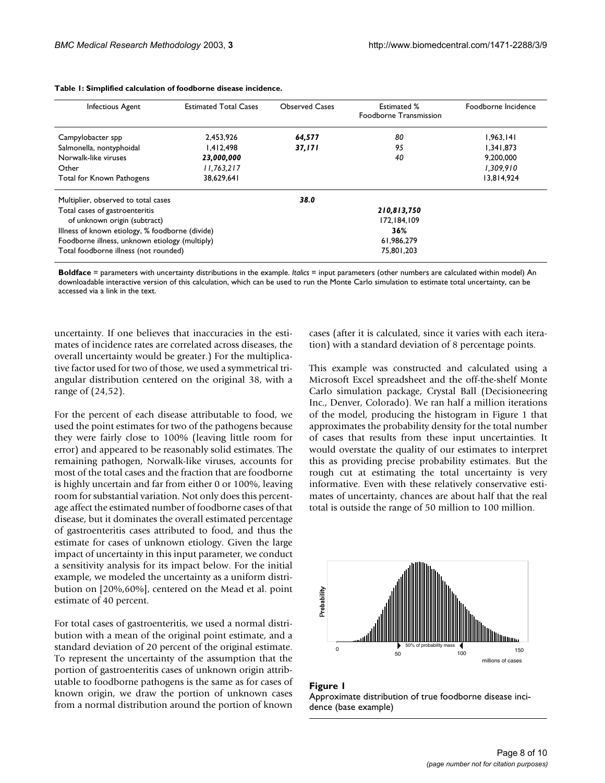| Infectious Agent                                | <b>Estimated Total Cases</b> | <b>Observed Cases</b> | <b>Estimated %</b><br>Foodborne Transmission | Foodborne Incidence |
|-------------------------------------------------|------------------------------|-----------------------|----------------------------------------------|---------------------|
| Campylobacter spp                               | 2,453,926                    | 64,577                | 80                                           | 1,963,141           |
| Salmonella, nontyphoidal                        | 1,412,498                    | 37,171                | 95                                           | 1.341.873           |
| Norwalk-like viruses                            | 23,000,000                   |                       | 40                                           | 9,200,000           |
| Other                                           | 11,763,217                   |                       |                                              | 1,309,910           |
| Total for Known Pathogens                       | 38,629,641                   |                       |                                              | 13,814,924          |
| Multiplier, observed to total cases             |                              | 38.0                  |                                              |                     |
| Total cases of gastroenteritis                  |                              |                       | 210,813,750                                  |                     |
| of unknown origin (subtract)                    |                              |                       | 172.184.109                                  |                     |
| Illness of known etiology, % foodborne (divide) |                              |                       | 36%                                          |                     |
| Foodborne illness, unknown etiology (multiply)  |                              |                       | 61,986,279                                   |                     |
| Total foodborne illness (not rounded)           |                              |                       | 75,801,203                                   |                     |

#### <span id="page-7-0"></span>**Table 1: Simplified calculation of foodborne disease incidence.**

**Boldface** = parameters with uncertainty distributions in the example. *Italics* = input parameters (other numbers are calculated within model) An downloadable interactive version of this calculation, which can be used to run the Monte Carlo simulation to estimate total uncertainty, can be accessed via a link in the text.

uncertainty. If one believes that inaccuracies in the estimates of incidence rates are correlated across diseases, the overall uncertainty would be greater.) For the multiplicative factor used for two of those, we used a symmetrical triangular distribution centered on the original 38, with a range of (24,52).

For the percent of each disease attributable to food, we used the point estimates for two of the pathogens because they were fairly close to 100% (leaving little room for error) and appeared to be reasonably solid estimates. The remaining pathogen, Norwalk-like viruses, accounts for most of the total cases and the fraction that are foodborne is highly uncertain and far from either 0 or 100%, leaving room for substantial variation. Not only does this percentage affect the estimated number of foodborne cases of that disease, but it dominates the overall estimated percentage of gastroenteritis cases attributed to food, and thus the estimate for cases of unknown etiology. Given the large impact of uncertainty in this input parameter, we conduct a sensitivity analysis for its impact below. For the initial example, we modeled the uncertainty as a uniform distribution on [20%,60%], centered on the Mead et al. point estimate of 40 percent.

For total cases of gastroenteritis, we used a normal distribution with a mean of the original point estimate, and a standard deviation of 20 percent of the original estimate. To represent the uncertainty of the assumption that the portion of gastroenteritis cases of unknown origin attributable to foodborne pathogens is the same as for cases of known origin, we draw the portion of unknown cases from a normal distribution around the portion of known cases (after it is calculated, since it varies with each iteration) with a standard deviation of 8 percentage points.

This example was constructed and calculated using a Microsoft Excel spreadsheet and the off-the-shelf Monte Carlo simulation package, Crystal Ball (Decisioneering Inc., Denver, Colorado). We ran half a million iterations of the model, producing the histogram in Figure 1 that approximates the probability density for the total number of cases that results from these input uncertainties. It would overstate the quality of our estimates to interpret this as providing precise probability estimates. But the rough cut at estimating the total uncertainty is very informative. Even with these relatively conservative estimates of uncertainty, chances are about half that the real total is outside the range of 50 million to 100 million.



# Figure 1

Approximate distribution of true foodborne disease incidence (base example)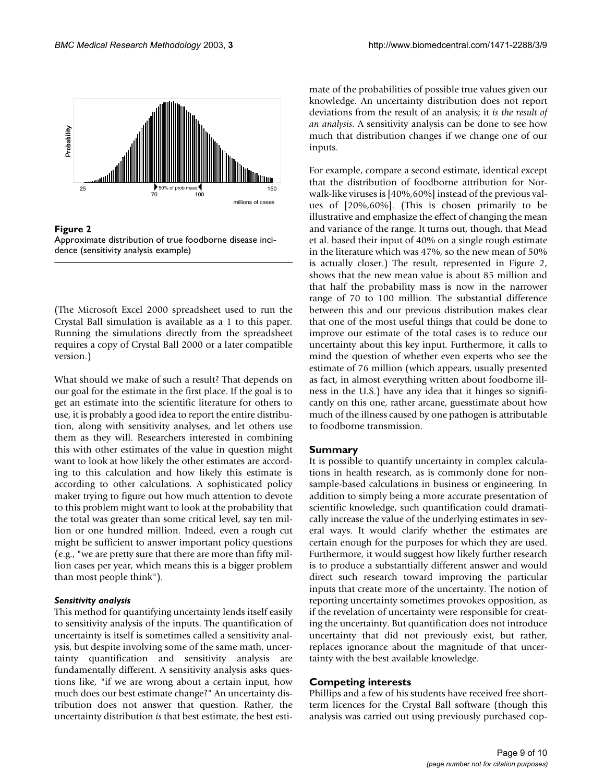

Figure 2 Approximate distribution of true foodborne disease incidence (sensitivity analysis example)

(The Microsoft Excel 2000 spreadsheet used to run the Crystal Ball simulation is available as a 1 to this paper. Running the simulations directly from the spreadsheet requires a copy of Crystal Ball 2000 or a later compatible version.)

What should we make of such a result? That depends on our goal for the estimate in the first place. If the goal is to get an estimate into the scientific literature for others to use, it is probably a good idea to report the entire distribution, along with sensitivity analyses, and let others use them as they will. Researchers interested in combining this with other estimates of the value in question might want to look at how likely the other estimates are according to this calculation and how likely this estimate is according to other calculations. A sophisticated policy maker trying to figure out how much attention to devote to this problem might want to look at the probability that the total was greater than some critical level, say ten million or one hundred million. Indeed, even a rough cut might be sufficient to answer important policy questions (e.g., "we are pretty sure that there are more than fifty million cases per year, which means this is a bigger problem than most people think").

# *Sensitivity analysis*

This method for quantifying uncertainty lends itself easily to sensitivity analysis of the inputs. The quantification of uncertainty is itself is sometimes called a sensitivity analysis, but despite involving some of the same math, uncertainty quantification and sensitivity analysis are fundamentally different. A sensitivity analysis asks questions like, "if we are wrong about a certain input, how much does our best estimate change?" An uncertainty distribution does not answer that question. Rather, the uncertainty distribution *is* that best estimate, the best estimate of the probabilities of possible true values given our knowledge. An uncertainty distribution does not report deviations from the result of an analysis; it *is the result of an analysis*. A sensitivity analysis can be done to see how much that distribution changes if we change one of our inputs.

For example, compare a second estimate, identical except that the distribution of foodborne attribution for Norwalk-like viruses is [40%,60%] instead of the previous values of [20%,60%]. (This is chosen primarily to be illustrative and emphasize the effect of changing the mean and variance of the range. It turns out, though, that Mead et al. based their input of 40% on a single rough estimate in the literature which was 47%, so the new mean of 50% is actually closer.) The result, represented in Figure 2, shows that the new mean value is about 85 million and that half the probability mass is now in the narrower range of 70 to 100 million. The substantial difference between this and our previous distribution makes clear that one of the most useful things that could be done to improve our estimate of the total cases is to reduce our uncertainty about this key input. Furthermore, it calls to mind the question of whether even experts who see the estimate of 76 million (which appears, usually presented as fact, in almost everything written about foodborne illness in the U.S.) have any idea that it hinges so significantly on this one, rather arcane, guesstimate about how much of the illness caused by one pathogen is attributable to foodborne transmission.

# **Summary**

It is possible to quantify uncertainty in complex calculations in health research, as is commonly done for nonsample-based calculations in business or engineering. In addition to simply being a more accurate presentation of scientific knowledge, such quantification could dramatically increase the value of the underlying estimates in several ways. It would clarify whether the estimates are certain enough for the purposes for which they are used. Furthermore, it would suggest how likely further research is to produce a substantially different answer and would direct such research toward improving the particular inputs that create more of the uncertainty. The notion of reporting uncertainty sometimes provokes opposition, as if the revelation of uncertainty were responsible for creating the uncertainty. But quantification does not introduce uncertainty that did not previously exist, but rather, replaces ignorance about the magnitude of that uncertainty with the best available knowledge.

# **Competing interests**

Phillips and a few of his students have received free shortterm licences for the Crystal Ball software (though this analysis was carried out using previously purchased cop